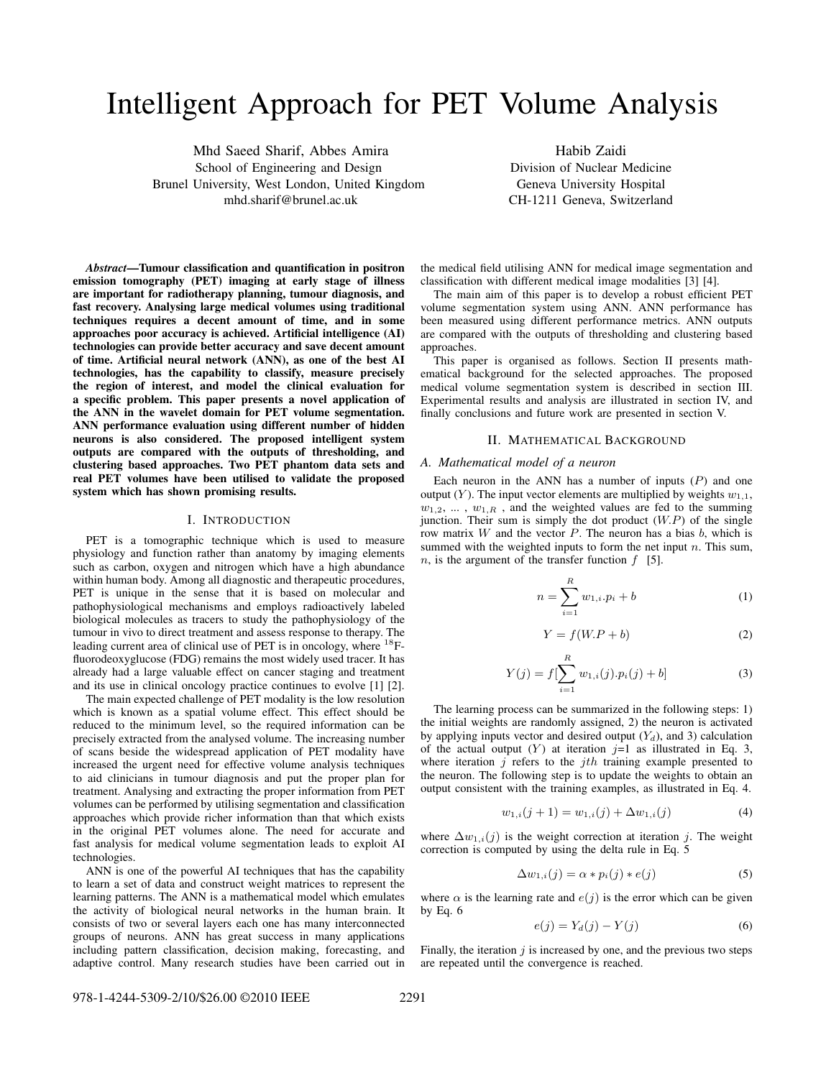# Intelligent Approach for PET Volume Analysis

Mhd Saeed Sharif, Abbes Amira School of Engineering and Design Brunel University, West London, United Kingdom mhd.sharif@brunel.ac.uk

Habib Zaidi Division of Nuclear Medicine Geneva University Hospital CH-1211 Geneva, Switzerland

*Abstract***—Tumour classification and quantification in positron emission tomography (PET) imaging at early stage of illness are important for radiotherapy planning, tumour diagnosis, and fast recovery. Analysing large medical volumes using traditional techniques requires a decent amount of time, and in some approaches poor accuracy is achieved. Artificial intelligence (AI) technologies can provide better accuracy and save decent amount of time. Artificial neural network (ANN), as one of the best AI technologies, has the capability to classify, measure precisely the region of interest, and model the clinical evaluation for a specific problem. This paper presents a novel application of the ANN in the wavelet domain for PET volume segmentation. ANN performance evaluation using different number of hidden neurons is also considered. The proposed intelligent system outputs are compared with the outputs of thresholding, and clustering based approaches. Two PET phantom data sets and real PET volumes have been utilised to validate the proposed system which has shown promising results.**

# I. INTRODUCTION

PET is a tomographic technique which is used to measure physiology and function rather than anatomy by imaging elements such as carbon, oxygen and nitrogen which have a high abundance within human body. Among all diagnostic and therapeutic procedures, PET is unique in the sense that it is based on molecular and pathophysiological mechanisms and employs radioactively labeled biological molecules as tracers to study the pathophysiology of the tumour in vivo to direct treatment and assess response to therapy. The leading current area of clinical use of PET is in oncology, where <sup>18</sup>Ffluorodeoxyglucose (FDG) remains the most widely used tracer. It has already had a large valuable effect on cancer staging and treatment and its use in clinical oncology practice continues to evolve [1] [2].

The main expected challenge of PET modality is the low resolution which is known as a spatial volume effect. This effect should be reduced to the minimum level, so the required information can be precisely extracted from the analysed volume. The increasing number of scans beside the widespread application of PET modality have increased the urgent need for effective volume analysis techniques to aid clinicians in tumour diagnosis and put the proper plan for treatment. Analysing and extracting the proper information from PET volumes can be performed by utilising segmentation and classification approaches which provide richer information than that which exists in the original PET volumes alone. The need for accurate and fast analysis for medical volume segmentation leads to exploit AI technologies.

ANN is one of the powerful AI techniques that has the capability to learn a set of data and construct weight matrices to represent the learning patterns. The ANN is a mathematical model which emulates the activity of biological neural networks in the human brain. It consists of two or several layers each one has many interconnected groups of neurons. ANN has great success in many applications including pattern classification, decision making, forecasting, and adaptive control. Many research studies have been carried out in

the medical field utilising ANN for medical image segmentation and classification with different medical image modalities [3] [4].

The main aim of this paper is to develop a robust efficient PET volume segmentation system using ANN. ANN performance has been measured using different performance metrics. ANN outputs are compared with the outputs of thresholding and clustering based approaches.

This paper is organised as follows. Section II presents mathematical background for the selected approaches. The proposed medical volume segmentation system is described in section III. Experimental results and analysis are illustrated in section IV, and finally conclusions and future work are presented in section V.

# II. MATHEMATICAL BACKGROUND

### *A. Mathematical model of a neuron*

Each neuron in the ANN has a number of inputs  $(P)$  and one output  $(Y)$ . The input vector elements are multiplied by weights  $w_{1,1}$ ,  $w_{1,2}, \ldots, w_{1,R}$ , and the weighted values are fed to the summing junction. Their sum is simply the dot product  $(W.P)$  of the single row matrix  $W$  and the vector  $P$ . The neuron has a bias  $b$ , which is summed with the weighted inputs to form the net input  $n$ . This sum, *n*, is the argument of the transfer function  $f$  [5].

$$
n = \sum_{i=1}^{R} w_{1,i} \cdot p_i + b \tag{1}
$$

$$
Y = f(W.P + b)
$$
 (2)

$$
Y(j) = f[\sum_{i=1}^{R} w_{1,i}(j).p_i(j) + b]
$$
 (3)

The learning process can be summarized in the following steps: 1) the initial weights are randomly assigned, 2) the neuron is activated by applying inputs vector and desired output  $(Y_d)$ , and 3) calculation of the actual output  $(Y)$  at iteration  $j=1$  as illustrated in Eq. 3, where iteration  $j$  refers to the  $j$ th training example presented to the neuron. The following step is to update the weights to obtain an output consistent with the training examples, as illustrated in Eq. 4.

$$
w_{1,i}(j+1) = w_{1,i}(j) + \Delta w_{1,i}(j)
$$
\n(4)

where  $\Delta w_{1,i}(i)$  is the weight correction at iteration j. The weight correction is computed by using the delta rule in Eq. 5

$$
\Delta w_{1,i}(j) = \alpha * p_i(j) * e(j)
$$
\n(5)

where  $\alpha$  is the learning rate and  $e(j)$  is the error which can be given by Eq. 6

$$
e(j) = Y_d(j) - Y(j)
$$
\n<sup>(6)</sup>

Finally, the iteration  $\dot{\jmath}$  is increased by one, and the previous two steps are repeated until the convergence is reached.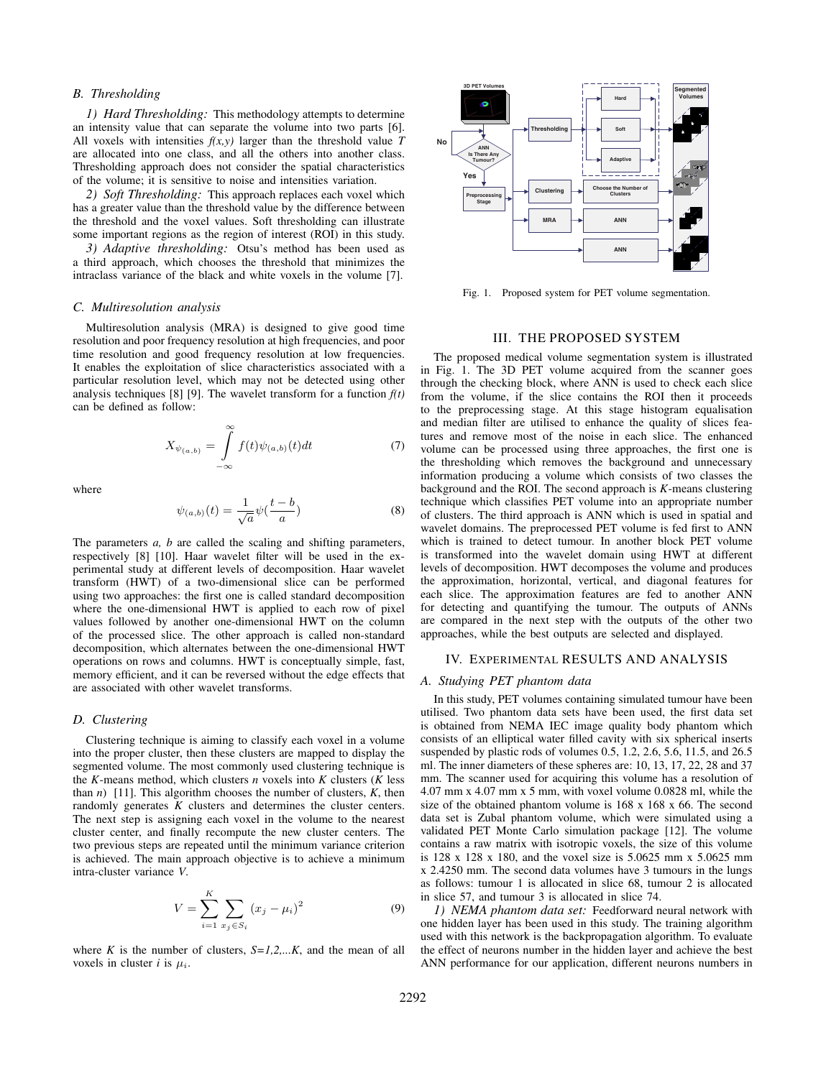# *B. Thresholding*

*1) Hard Thresholding:* This methodology attempts to determine an intensity value that can separate the volume into two parts [6]. All voxels with intensities  $f(x, y)$  larger than the threshold value *T* are allocated into one class, and all the others into another class. Thresholding approach does not consider the spatial characteristics of the volume; it is sensitive to noise and intensities variation.

*2) Soft Thresholding:* This approach replaces each voxel which has a greater value than the threshold value by the difference between the threshold and the voxel values. Soft thresholding can illustrate some important regions as the region of interest (ROI) in this study.

*3) Adaptive thresholding:* Otsu's method has been used as a third approach, which chooses the threshold that minimizes the intraclass variance of the black and white voxels in the volume [7].

### *C. Multiresolution analysis*

Multiresolution analysis (MRA) is designed to give good time resolution and poor frequency resolution at high frequencies, and poor time resolution and good frequency resolution at low frequencies. It enables the exploitation of slice characteristics associated with a particular resolution level, which may not be detected using other analysis techniques [8] [9]. The wavelet transform for a function  $f(t)$ can be defined as follow:

$$
X_{\psi_{(a,b)}} = \int_{-\infty}^{\infty} f(t)\psi_{(a,b)}(t)dt
$$
 (7)

where

$$
\psi_{(a,b)}(t) = \frac{1}{\sqrt{a}} \psi(\frac{t-b}{a})
$$
\n(8)

The parameters *a, b* are called the scaling and shifting parameters, respectively [8] [10]. Haar wavelet filter will be used in the experimental study at different levels of decomposition. Haar wavelet transform (HWT) of a two-dimensional slice can be performed using two approaches: the first one is called standard decomposition where the one-dimensional HWT is applied to each row of pixel values followed by another one-dimensional HWT on the column of the processed slice. The other approach is called non-standard decomposition, which alternates between the one-dimensional HWT operations on rows and columns. HWT is conceptually simple, fast, memory efficient, and it can be reversed without the edge effects that are associated with other wavelet transforms.

# *D. Clustering*

Clustering technique is aiming to classify each voxel in a volume into the proper cluster, then these clusters are mapped to display the segmented volume. The most commonly used clustering technique is the *K*-means method, which clusters *n* voxels into *K* clusters ( $\hat{K}$  less than  $n$ ) [11]. This algorithm chooses the number of clusters,  $K$ , then randomly generates *K* clusters and determines the cluster centers. The next step is assigning each voxel in the volume to the nearest cluster center, and finally recompute the new cluster centers. The two previous steps are repeated until the minimum variance criterion is achieved. The main approach objective is to achieve a minimum intra-cluster variance *V*.

$$
V = \sum_{i=1}^{K} \sum_{x_j \in S_i} (x_j - \mu_i)^2
$$
 (9)

where *K* is the number of clusters,  $S=1,2,...K$ , and the mean of all voxels in cluster *i* is  $\mu_i$ .



Fig. 1. Proposed system for PET volume segmentation.

# III. THE PROPOSED SYSTEM

The proposed medical volume segmentation system is illustrated in Fig. 1. The 3D PET volume acquired from the scanner goes through the checking block, where ANN is used to check each slice from the volume, if the slice contains the ROI then it proceeds to the preprocessing stage. At this stage histogram equalisation and median filter are utilised to enhance the quality of slices features and remove most of the noise in each slice. The enhanced volume can be processed using three approaches, the first one is the thresholding which removes the background and unnecessary information producing a volume which consists of two classes the background and the ROI. The second approach is *K*-means clustering technique which classifies PET volume into an appropriate number of clusters. The third approach is ANN which is used in spatial and wavelet domains. The preprocessed PET volume is fed first to ANN which is trained to detect tumour. In another block PET volume is transformed into the wavelet domain using HWT at different levels of decomposition. HWT decomposes the volume and produces the approximation, horizontal, vertical, and diagonal features for each slice. The approximation features are fed to another ANN for detecting and quantifying the tumour. The outputs of ANNs are compared in the next step with the outputs of the other two approaches, while the best outputs are selected and displayed.

## IV. EXPERIMENTAL RESULTS AND ANALYSIS

#### *A. Studying PET phantom data*

In this study, PET volumes containing simulated tumour have been utilised. Two phantom data sets have been used, the first data set is obtained from NEMA IEC image quality body phantom which consists of an elliptical water filled cavity with six spherical inserts suspended by plastic rods of volumes 0.5, 1.2, 2.6, 5.6, 11.5, and 26.5 ml. The inner diameters of these spheres are: 10, 13, 17, 22, 28 and 37 mm. The scanner used for acquiring this volume has a resolution of 4.07 mm x 4.07 mm x 5 mm, with voxel volume 0.0828 ml, while the size of the obtained phantom volume is 168 x 168 x 66. The second data set is Zubal phantom volume, which were simulated using a validated PET Monte Carlo simulation package [12]. The volume contains a raw matrix with isotropic voxels, the size of this volume is 128 x 128 x 180, and the voxel size is 5.0625 mm x 5.0625 mm x 2.4250 mm. The second data volumes have 3 tumours in the lungs as follows: tumour 1 is allocated in slice 68, tumour 2 is allocated in slice 57, and tumour 3 is allocated in slice 74.

*1) NEMA phantom data set:* Feedforward neural network with one hidden layer has been used in this study. The training algorithm used with this network is the backpropagation algorithm. To evaluate the effect of neurons number in the hidden layer and achieve the best ANN performance for our application, different neurons numbers in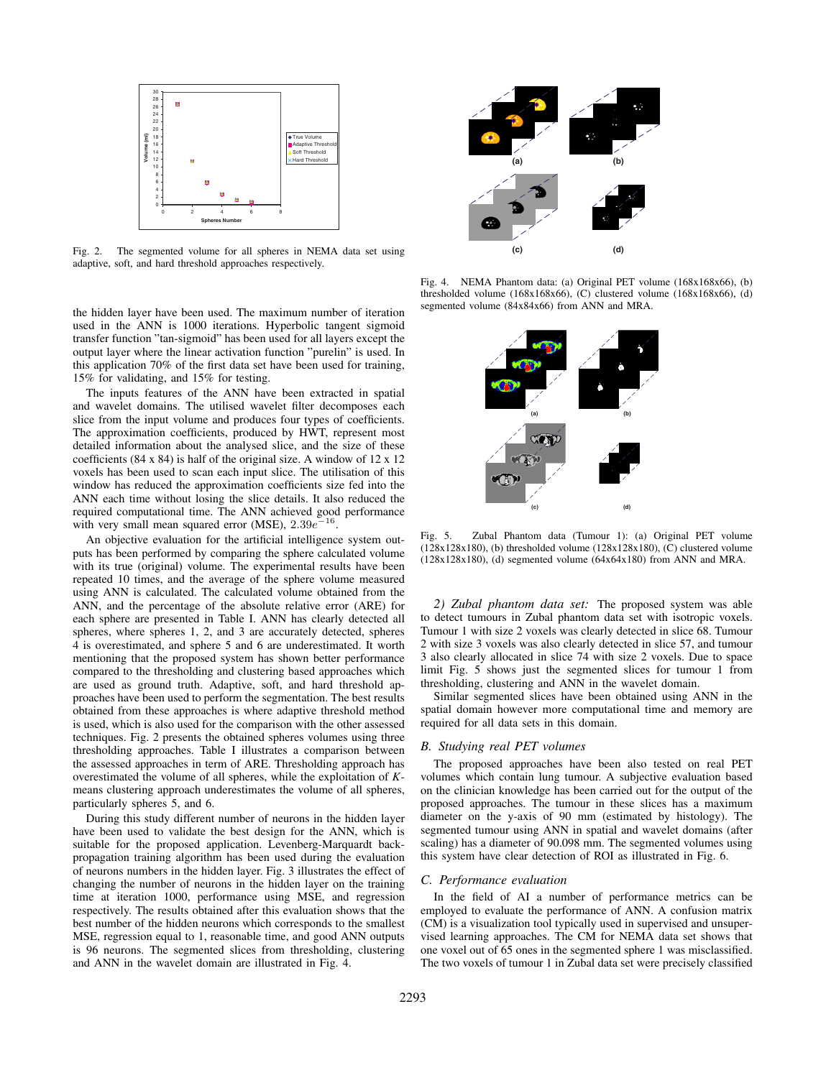

Fig. 2. The segmented volume for all spheres in NEMA data set using adaptive, soft, and hard threshold approaches respectively.

the hidden layer have been used. The maximum number of iteration used in the ANN is 1000 iterations. Hyperbolic tangent sigmoid transfer function "tan-sigmoid" has been used for all layers except the output layer where the linear activation function "purelin" is used. In this application 70% of the first data set have been used for training, 15% for validating, and 15% for testing.

The inputs features of the ANN have been extracted in spatial and wavelet domains. The utilised wavelet filter decomposes each slice from the input volume and produces four types of coefficients. The approximation coefficients, produced by HWT, represent most detailed information about the analysed slice, and the size of these coefficients (84 x 84) is half of the original size. A window of 12 x 12 voxels has been used to scan each input slice. The utilisation of this window has reduced the approximation coefficients size fed into the ANN each time without losing the slice details. It also reduced the required computational time. The ANN achieved good performance with very small mean squared error (MSE),  $2.39e^{-16}$ .

An objective evaluation for the artificial intelligence system outputs has been performed by comparing the sphere calculated volume with its true (original) volume. The experimental results have been repeated 10 times, and the average of the sphere volume measured using ANN is calculated. The calculated volume obtained from the ANN, and the percentage of the absolute relative error (ARE) for each sphere are presented in Table I. ANN has clearly detected all spheres, where spheres 1, 2, and 3 are accurately detected, spheres 4 is overestimated, and sphere 5 and 6 are underestimated. It worth mentioning that the proposed system has shown better performance compared to the thresholding and clustering based approaches which are used as ground truth. Adaptive, soft, and hard threshold approaches have been used to perform the segmentation. The best results obtained from these approaches is where adaptive threshold method is used, which is also used for the comparison with the other assessed techniques. Fig. 2 presents the obtained spheres volumes using three thresholding approaches. Table I illustrates a comparison between the assessed approaches in term of ARE. Thresholding approach has overestimated the volume of all spheres, while the exploitation of *K*means clustering approach underestimates the volume of all spheres, particularly spheres 5, and 6.

During this study different number of neurons in the hidden layer have been used to validate the best design for the ANN, which is suitable for the proposed application. Levenberg-Marquardt backpropagation training algorithm has been used during the evaluation of neurons numbers in the hidden layer. Fig. 3 illustrates the effect of changing the number of neurons in the hidden layer on the training time at iteration 1000, performance using MSE, and regression respectively. The results obtained after this evaluation shows that the best number of the hidden neurons which corresponds to the smallest MSE, regression equal to 1, reasonable time, and good ANN outputs is 96 neurons. The segmented slices from thresholding, clustering and ANN in the wavelet domain are illustrated in Fig. 4.



Fig. 4. NEMA Phantom data: (a) Original PET volume (168x168x66), (b) thresholded volume (168x168x66), (C) clustered volume (168x168x66), (d) segmented volume (84x84x66) from ANN and MRA.



Fig. 5. Zubal Phantom data (Tumour 1): (a) Original PET volume  $(128x128x180)$ , (b) thresholded volume  $(128x128x180)$ , (C) clustered volume (128x128x180), (d) segmented volume (64x64x180) from ANN and MRA.

*2) Zubal phantom data set:* The proposed system was able to detect tumours in Zubal phantom data set with isotropic voxels. Tumour 1 with size 2 voxels was clearly detected in slice 68. Tumour 2 with size 3 voxels was also clearly detected in slice 57, and tumour 3 also clearly allocated in slice 74 with size 2 voxels. Due to space limit Fig. 5 shows just the segmented slices for tumour 1 from thresholding, clustering and ANN in the wavelet domain.

Similar segmented slices have been obtained using ANN in the spatial domain however more computational time and memory are required for all data sets in this domain.

## *B. Studying real PET volumes*

The proposed approaches have been also tested on real PET volumes which contain lung tumour. A subjective evaluation based on the clinician knowledge has been carried out for the output of the proposed approaches. The tumour in these slices has a maximum diameter on the y-axis of 90 mm (estimated by histology). The segmented tumour using ANN in spatial and wavelet domains (after scaling) has a diameter of 90.098 mm. The segmented volumes using this system have clear detection of ROI as illustrated in Fig. 6.

#### *C. Performance evaluation*

In the field of AI a number of performance metrics can be employed to evaluate the performance of ANN. A confusion matrix (CM) is a visualization tool typically used in supervised and unsupervised learning approaches. The CM for NEMA data set shows that one voxel out of 65 ones in the segmented sphere 1 was misclassified. The two voxels of tumour 1 in Zubal data set were precisely classified